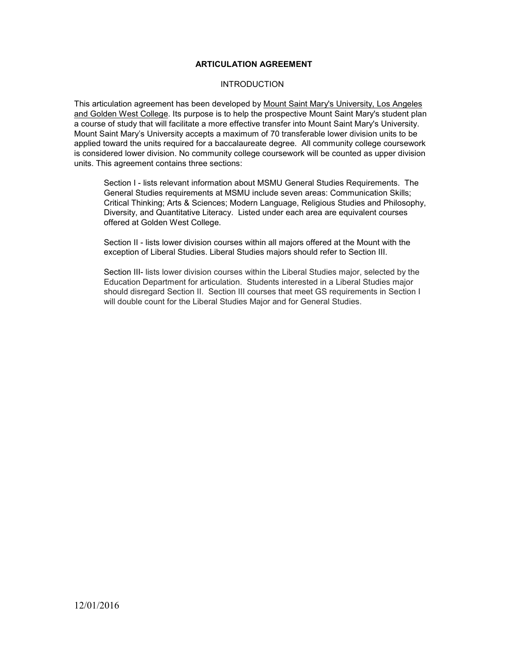#### **ARTICULATION AGREEMENT**

#### **INTRODUCTION**

This articulation agreement has been developed by Mount Saint Mary's University, Los Angeles and Golden West College. Its purpose is to help the prospective Mount Saint Mary's student plan a course of study that will facilitate a more effective transfer into Mount Saint Mary's University. Mount Saint Mary's University accepts a maximum of 70 transferable lower division units to be applied toward the units required for a baccalaureate degree. All community college coursework is considered lower division. No community college coursework will be counted as upper division units. This agreement contains three sections:

Section I - lists relevant information about MSMU General Studies Requirements. The General Studies requirements at MSMU include seven areas: Communication Skills; Critical Thinking; Arts & Sciences; Modern Language, Religious Studies and Philosophy, Diversity, and Quantitative Literacy. Listed under each area are equivalent courses offered at Golden West College.

Section II - lists lower division courses within all majors offered at the Mount with the exception of Liberal Studies. Liberal Studies majors should refer to Section III.

Section III- lists lower division courses within the Liberal Studies major, selected by the Education Department for articulation. Students interested in a Liberal Studies major should disregard Section II. Section III courses that meet GS requirements in Section I will double count for the Liberal Studies Major and for General Studies.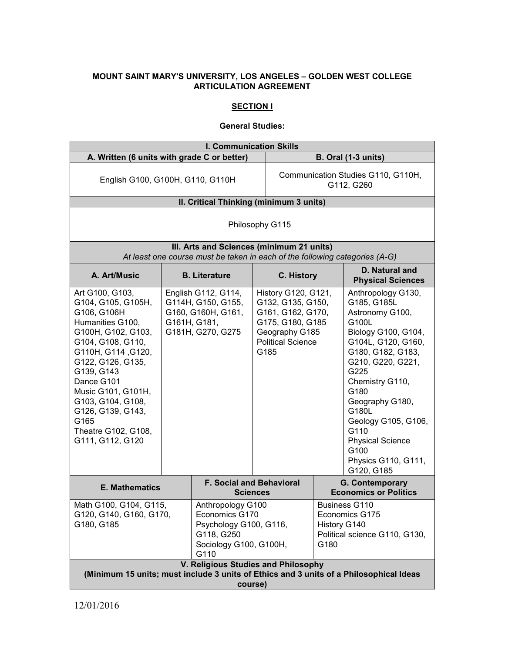# **MOUNT SAINT MARY'S UNIVERSITY, LOS ANGELES – GOLDEN WEST COLLEGE ARTICULATION AGREEMENT**

# **SECTION I**

#### **General Studies:**

|                                                                                                                                                                                                                                                                                                               |  |                                                                                                                                                      | <b>I. Communication Skills</b>                                                                                                          |                                                  |                                                                                                                                                                                                                                                                                                                            |
|---------------------------------------------------------------------------------------------------------------------------------------------------------------------------------------------------------------------------------------------------------------------------------------------------------------|--|------------------------------------------------------------------------------------------------------------------------------------------------------|-----------------------------------------------------------------------------------------------------------------------------------------|--------------------------------------------------|----------------------------------------------------------------------------------------------------------------------------------------------------------------------------------------------------------------------------------------------------------------------------------------------------------------------------|
| A. Written (6 units with grade C or better)                                                                                                                                                                                                                                                                   |  |                                                                                                                                                      |                                                                                                                                         |                                                  | <b>B. Oral (1-3 units)</b>                                                                                                                                                                                                                                                                                                 |
| English G100, G100H, G110, G110H                                                                                                                                                                                                                                                                              |  |                                                                                                                                                      |                                                                                                                                         | Communication Studies G110, G110H,<br>G112, G260 |                                                                                                                                                                                                                                                                                                                            |
| II. Critical Thinking (minimum 3 units)                                                                                                                                                                                                                                                                       |  |                                                                                                                                                      |                                                                                                                                         |                                                  |                                                                                                                                                                                                                                                                                                                            |
|                                                                                                                                                                                                                                                                                                               |  |                                                                                                                                                      | Philosophy G115                                                                                                                         |                                                  |                                                                                                                                                                                                                                                                                                                            |
|                                                                                                                                                                                                                                                                                                               |  | III. Arts and Sciences (minimum 21 units)<br>At least one course must be taken in each of the following categories (A-G)                             |                                                                                                                                         |                                                  |                                                                                                                                                                                                                                                                                                                            |
| A. Art/Music                                                                                                                                                                                                                                                                                                  |  | <b>B.</b> Literature                                                                                                                                 | C. History                                                                                                                              |                                                  | D. Natural and<br><b>Physical Sciences</b>                                                                                                                                                                                                                                                                                 |
| Art G100, G103,<br>G104, G105, G105H,<br>G106, G106H<br>Humanities G100,<br>G100H, G102, G103,<br>G104, G108, G110,<br>G110H, G114, G120,<br>G122, G126, G135,<br>G139, G143<br>Dance G101<br>Music G101, G101H,<br>G103, G104, G108,<br>G126, G139, G143,<br>G165<br>Theatre G102, G108,<br>G111, G112, G120 |  | English G112, G114,<br>G114H, G150, G155,<br>G160, G160H, G161,<br>G161H, G181,<br>G181H, G270, G275                                                 | History G120, G121,<br>G132, G135, G150,<br>G161, G162, G170,<br>G175, G180, G185<br>Geography G185<br><b>Political Science</b><br>G185 |                                                  | Anthropology G130,<br>G185, G185L<br>Astronomy G100,<br>G100L<br>Biology G100, G104,<br>G104L, G120, G160,<br>G180, G182, G183,<br>G210, G220, G221,<br>G225<br>Chemistry G110,<br>G180<br>Geography G180,<br>G180L<br>Geology G105, G106,<br>G110<br><b>Physical Science</b><br>G100<br>Physics G110, G111,<br>G120, G185 |
| <b>E. Mathematics</b>                                                                                                                                                                                                                                                                                         |  |                                                                                                                                                      | <b>F. Social and Behavioral</b><br><b>Sciences</b>                                                                                      |                                                  | G. Contemporary<br><b>Economics or Politics</b>                                                                                                                                                                                                                                                                            |
| Math G100, G104, G115,<br>G120, G140, G160, G170,<br>G180, G185                                                                                                                                                                                                                                               |  | Anthropology G100<br>Economics G170<br>Psychology G100, G116,<br>G118, G250<br>Sociology G100, G100H,<br>G110<br>V. Religious Studies and Philosophy |                                                                                                                                         | History G140<br>G180                             | <b>Business G110</b><br>Economics G175<br>Political science G110, G130,                                                                                                                                                                                                                                                    |
|                                                                                                                                                                                                                                                                                                               |  |                                                                                                                                                      | course)                                                                                                                                 |                                                  | (Minimum 15 units; must include 3 units of Ethics and 3 units of a Philosophical Ideas                                                                                                                                                                                                                                     |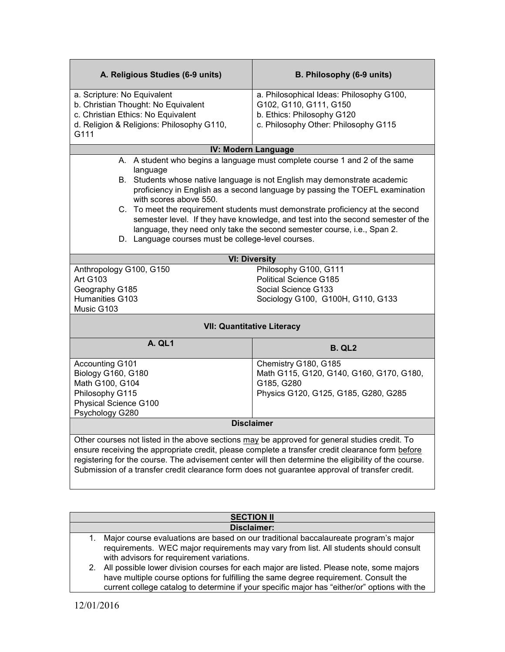| A. Religious Studies (6-9 units)                                                                                                                                                                                                                                                                                                                                                                            | B. Philosophy (6-9 units)                                                        |  |
|-------------------------------------------------------------------------------------------------------------------------------------------------------------------------------------------------------------------------------------------------------------------------------------------------------------------------------------------------------------------------------------------------------------|----------------------------------------------------------------------------------|--|
| a. Scripture: No Equivalent                                                                                                                                                                                                                                                                                                                                                                                 | a. Philosophical Ideas: Philosophy G100,                                         |  |
| b. Christian Thought: No Equivalent                                                                                                                                                                                                                                                                                                                                                                         | G102, G110, G111, G150                                                           |  |
| c. Christian Ethics: No Equivalent                                                                                                                                                                                                                                                                                                                                                                          | b. Ethics: Philosophy G120                                                       |  |
| d. Religion & Religions: Philosophy G110,<br>G111                                                                                                                                                                                                                                                                                                                                                           | c. Philosophy Other: Philosophy G115                                             |  |
|                                                                                                                                                                                                                                                                                                                                                                                                             |                                                                                  |  |
|                                                                                                                                                                                                                                                                                                                                                                                                             | <b>IV: Modern Language</b>                                                       |  |
| language                                                                                                                                                                                                                                                                                                                                                                                                    | A. A student who begins a language must complete course 1 and 2 of the same      |  |
|                                                                                                                                                                                                                                                                                                                                                                                                             | B. Students whose native language is not English may demonstrate academic        |  |
| with scores above 550.                                                                                                                                                                                                                                                                                                                                                                                      | proficiency in English as a second language by passing the TOEFL examination     |  |
|                                                                                                                                                                                                                                                                                                                                                                                                             | C. To meet the requirement students must demonstrate proficiency at the second   |  |
|                                                                                                                                                                                                                                                                                                                                                                                                             | semester level. If they have knowledge, and test into the second semester of the |  |
|                                                                                                                                                                                                                                                                                                                                                                                                             | language, they need only take the second semester course, i.e., Span 2.          |  |
| D. Language courses must be college-level courses.                                                                                                                                                                                                                                                                                                                                                          |                                                                                  |  |
|                                                                                                                                                                                                                                                                                                                                                                                                             | <b>VI: Diversity</b>                                                             |  |
| Anthropology G100, G150                                                                                                                                                                                                                                                                                                                                                                                     | Philosophy G100, G111                                                            |  |
| <b>Art G103</b>                                                                                                                                                                                                                                                                                                                                                                                             | <b>Political Science G185</b>                                                    |  |
| Geography G185                                                                                                                                                                                                                                                                                                                                                                                              | Social Science G133                                                              |  |
| Humanities G103<br>Music G103                                                                                                                                                                                                                                                                                                                                                                               | Sociology G100, G100H, G110, G133                                                |  |
|                                                                                                                                                                                                                                                                                                                                                                                                             | <b>VII: Quantitative Literacy</b>                                                |  |
| A. QL1                                                                                                                                                                                                                                                                                                                                                                                                      | <b>B. QL2</b>                                                                    |  |
| Accounting G101                                                                                                                                                                                                                                                                                                                                                                                             | Chemistry G180, G185                                                             |  |
| Biology G160, G180                                                                                                                                                                                                                                                                                                                                                                                          | Math G115, G120, G140, G160, G170, G180,                                         |  |
| Math G100, G104                                                                                                                                                                                                                                                                                                                                                                                             | G185, G280                                                                       |  |
| Philosophy G115                                                                                                                                                                                                                                                                                                                                                                                             | Physics G120, G125, G185, G280, G285                                             |  |
| Physical Science G100<br>Psychology G280                                                                                                                                                                                                                                                                                                                                                                    |                                                                                  |  |
|                                                                                                                                                                                                                                                                                                                                                                                                             | <b>Disclaimer</b>                                                                |  |
|                                                                                                                                                                                                                                                                                                                                                                                                             |                                                                                  |  |
| Other courses not listed in the above sections may be approved for general studies credit. To<br>ensure receiving the appropriate credit, please complete a transfer credit clearance form before<br>registering for the course. The advisement center will then determine the eligibility of the course.<br>Submission of a transfer credit clearance form does not guarantee approval of transfer credit. |                                                                                  |  |

| <b>Disclaimer:</b><br>Major course evaluations are based on our traditional baccalaureate program's major<br>1.<br>requirements. WEC major requirements may vary from list. All students should consult<br>with advisors for requirement variations.                               | <b>SECTION II</b> |
|------------------------------------------------------------------------------------------------------------------------------------------------------------------------------------------------------------------------------------------------------------------------------------|-------------------|
|                                                                                                                                                                                                                                                                                    |                   |
|                                                                                                                                                                                                                                                                                    |                   |
| 2. All possible lower division courses for each major are listed. Please note, some majors<br>have multiple course options for fulfilling the same degree requirement. Consult the<br>current college catalog to determine if your specific major has "either/or" options with the |                   |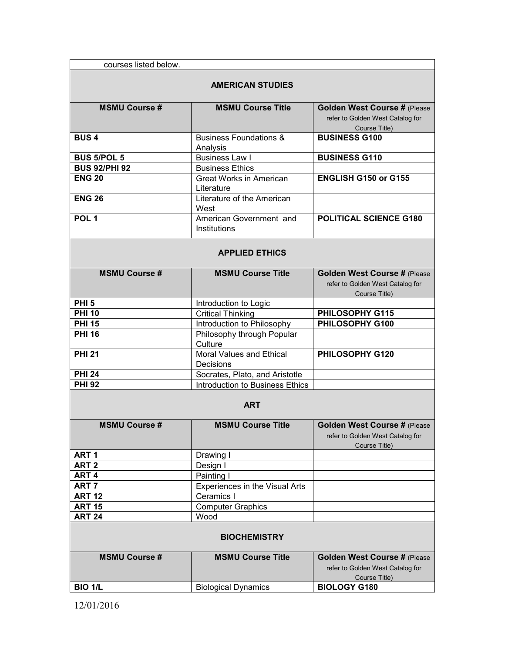| courses listed below. |                                         |                                                                                          |
|-----------------------|-----------------------------------------|------------------------------------------------------------------------------------------|
|                       | <b>AMERICAN STUDIES</b>                 |                                                                                          |
| <b>MSMU Course #</b>  | <b>MSMU Course Title</b>                | <b>Golden West Course # (Please</b><br>refer to Golden West Catalog for<br>Course Title) |
| <b>BUS4</b>           | <b>Business Foundations &amp;</b>       | <b>BUSINESS G100</b>                                                                     |
|                       | Analysis                                |                                                                                          |
| <b>BUS 5/POL 5</b>    | <b>Business Law I</b>                   | <b>BUSINESS G110</b>                                                                     |
| <b>BUS 92/PHI 92</b>  | <b>Business Ethics</b>                  |                                                                                          |
| <b>ENG 20</b>         | Great Works in American<br>Literature   | ENGLISH G150 or G155                                                                     |
| <b>ENG 26</b>         | Literature of the American<br>West      |                                                                                          |
| POL <sub>1</sub>      | American Government and<br>Institutions | POLITICAL SCIENCE G180                                                                   |
|                       | <b>APPLIED ETHICS</b>                   |                                                                                          |
| <b>MSMU Course #</b>  | <b>MSMU Course Title</b>                | Golden West Course # (Please<br>refer to Golden West Catalog for<br>Course Title)        |
| <b>PHI 5</b>          | Introduction to Logic                   |                                                                                          |
| <b>PHI 10</b>         | <b>Critical Thinking</b>                | PHILOSOPHY G115                                                                          |
| <b>PHI 15</b>         | Introduction to Philosophy              | PHILOSOPHY G100                                                                          |
| <b>PHI 16</b>         | Philosophy through Popular<br>Culture   |                                                                                          |
| <b>PHI 21</b>         | Moral Values and Ethical<br>Decisions   | PHILOSOPHY G120                                                                          |
| <b>PHI 24</b>         | Socrates, Plato, and Aristotle          |                                                                                          |
| <b>PHI 92</b>         | Introduction to Business Ethics         |                                                                                          |
|                       | <b>ART</b>                              |                                                                                          |
| <b>MSMU Course #</b>  | <b>MSMU Course Title</b>                | <b>Golden West Course # (Please</b><br>refer to Golden West Catalog for<br>Course Title) |
| ART <sub>1</sub>      | Drawing I                               |                                                                                          |
| ART <sub>2</sub>      | Design I                                |                                                                                          |
| ART <sub>4</sub>      | Painting I                              |                                                                                          |
| ART <sub>7</sub>      | Experiences in the Visual Arts          |                                                                                          |
| <b>ART 12</b>         | Ceramics I                              |                                                                                          |
| <b>ART 15</b>         | <b>Computer Graphics</b>                |                                                                                          |
| <b>ART 24</b>         | Wood                                    |                                                                                          |
|                       | <b>BIOCHEMISTRY</b>                     |                                                                                          |
| <b>MSMU Course #</b>  | <b>MSMU Course Title</b>                | Golden West Course # (Please<br>refer to Golden West Catalog for<br>Course Title)        |
| <b>BIO 1/L</b>        | <b>Biological Dynamics</b>              | <b>BIOLOGY G180</b>                                                                      |
|                       |                                         |                                                                                          |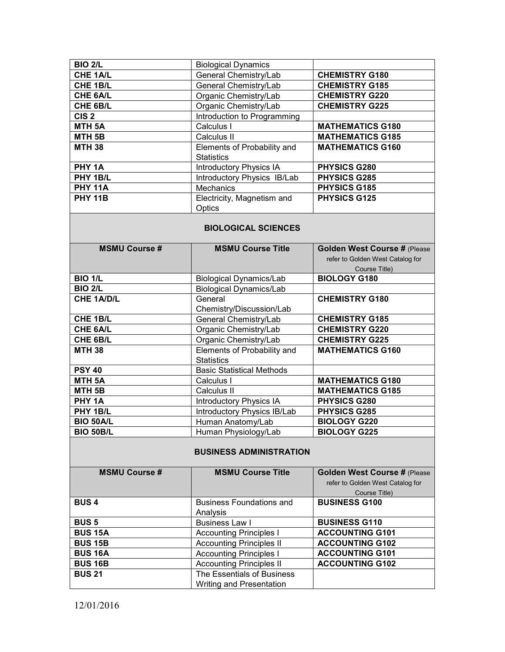| <b>BIO 2/L</b>    | <b>Biological Dynamics</b>     |                         |
|-------------------|--------------------------------|-------------------------|
| <b>CHE 1A/L</b>   | General Chemistry/Lab          | <b>CHEMISTRY G180</b>   |
| CHE 1B/L          | General Chemistry/Lab          | <b>CHEMISTRY G185</b>   |
| CHE 6A/L          | Organic Chemistry/Lab          | <b>CHEMISTRY G220</b>   |
| CHE 6B/L          | Organic Chemistry/Lab          | <b>CHEMISTRY G225</b>   |
| CIS <sub>2</sub>  | Introduction to Programming    |                         |
| MTH <sub>5A</sub> | Calculus I                     | <b>MATHEMATICS G180</b> |
| MTH 5B            | Calculus II                    | <b>MATHEMATICS G185</b> |
| <b>MTH 38</b>     | Elements of Probability and    | <b>MATHEMATICS G160</b> |
|                   | <b>Statistics</b>              |                         |
| PHY 1A            | <b>Introductory Physics IA</b> | <b>PHYSICS G280</b>     |
| PHY 1B/L          | Introductory Physics IB/Lab    | <b>PHYSICS G285</b>     |
| <b>PHY 11A</b>    | <b>Mechanics</b>               | <b>PHYSICS G185</b>     |
| <b>PHY 11B</b>    | Electricity, Magnetism and     | <b>PHYSICS G125</b>     |
|                   | Optics                         |                         |

### **BIOLOGICAL SCIENCES**

| <b>MSMU Course #</b> | <b>MSMU Course Title</b>         | Golden West Course # (Please     |
|----------------------|----------------------------------|----------------------------------|
|                      |                                  | refer to Golden West Catalog for |
|                      |                                  | Course Title)                    |
| <b>BIO 1/L</b>       | <b>Biological Dynamics/Lab</b>   | <b>BIOLOGY G180</b>              |
| <b>BIO 2/L</b>       | <b>Biological Dynamics/Lab</b>   |                                  |
| <b>CHE 1A/D/L</b>    | General                          | <b>CHEMISTRY G180</b>            |
|                      | Chemistry/Discussion/Lab         |                                  |
| <b>CHE 1B/L</b>      | General Chemistry/Lab            | <b>CHEMISTRY G185</b>            |
| <b>CHE 6A/L</b>      | Organic Chemistry/Lab            | <b>CHEMISTRY G220</b>            |
| CHE 6B/L             | Organic Chemistry/Lab            | <b>CHEMISTRY G225</b>            |
| <b>MTH 38</b>        | Elements of Probability and      | <b>MATHEMATICS G160</b>          |
|                      | <b>Statistics</b>                |                                  |
| <b>PSY 40</b>        | <b>Basic Statistical Methods</b> |                                  |
| <b>MTH 5A</b>        | Calculus I                       | <b>MATHEMATICS G180</b>          |
| MTH <sub>5B</sub>    | Calculus II                      | <b>MATHEMATICS G185</b>          |
| PHY 1A               | <b>Introductory Physics IA</b>   | <b>PHYSICS G280</b>              |
| PHY 1B/L             | Introductory Physics IB/Lab      | <b>PHYSICS G285</b>              |
| <b>BIO 50A/L</b>     | Human Anatomy/Lab                | <b>BIOLOGY G220</b>              |
| <b>BIO 50B/L</b>     | Human Physiology/Lab             | <b>BIOLOGY G225</b>              |

## **BUSINESS ADMINISTRATION**

| <b>MSMU Course #</b> | <b>MSMU Course Title</b>        | <b>Golden West Course # (Please</b> |
|----------------------|---------------------------------|-------------------------------------|
|                      |                                 | refer to Golden West Catalog for    |
|                      |                                 | Course Title)                       |
| <b>BUS4</b>          | <b>Business Foundations and</b> | <b>BUSINESS G100</b>                |
|                      | Analysis                        |                                     |
| <b>BUS 5</b>         | <b>Business Law I</b>           | <b>BUSINESS G110</b>                |
| <b>BUS 15A</b>       | <b>Accounting Principles I</b>  | <b>ACCOUNTING G101</b>              |
| <b>BUS 15B</b>       | <b>Accounting Principles II</b> | <b>ACCOUNTING G102</b>              |
| <b>BUS 16A</b>       | <b>Accounting Principles I</b>  | <b>ACCOUNTING G101</b>              |
| <b>BUS 16B</b>       | <b>Accounting Principles II</b> | <b>ACCOUNTING G102</b>              |
| <b>BUS 21</b>        | The Essentials of Business      |                                     |
|                      | Writing and Presentation        |                                     |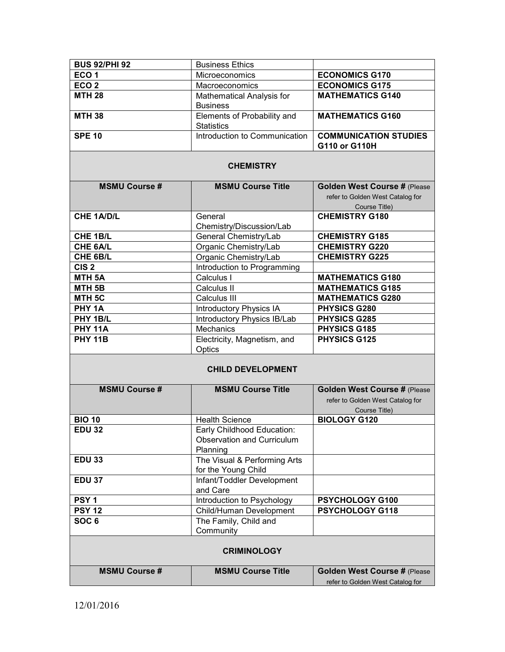| <b>BUS 92/PHI 92</b> | <b>Business Ethics</b>                              |                                               |  |  |
|----------------------|-----------------------------------------------------|-----------------------------------------------|--|--|
| ECO <sub>1</sub>     | Microeconomics                                      | <b>ECONOMICS G170</b>                         |  |  |
| ECO <sub>2</sub>     | Macroeconomics                                      | <b>ECONOMICS G175</b>                         |  |  |
| <b>MTH 28</b>        | Mathematical Analysis for                           | <b>MATHEMATICS G140</b>                       |  |  |
|                      | <b>Business</b>                                     |                                               |  |  |
| <b>MTH 38</b>        | Elements of Probability and<br><b>Statistics</b>    | <b>MATHEMATICS G160</b>                       |  |  |
| <b>SPE 10</b>        | Introduction to Communication                       | <b>COMMUNICATION STUDIES</b><br>G110 or G110H |  |  |
| <b>CHEMISTRY</b>     |                                                     |                                               |  |  |
| <b>MSMU Course #</b> | <b>MSMU Course Title</b>                            | Golden West Course # (Please                  |  |  |
|                      |                                                     | refer to Golden West Catalog for              |  |  |
|                      |                                                     | Course Title)                                 |  |  |
| <b>CHE 1A/D/L</b>    | General                                             | <b>CHEMISTRY G180</b>                         |  |  |
|                      | Chemistry/Discussion/Lab                            |                                               |  |  |
| CHE 1B/L             | General Chemistry/Lab                               | <b>CHEMISTRY G185</b>                         |  |  |
| CHE 6A/L             | Organic Chemistry/Lab                               | <b>CHEMISTRY G220</b>                         |  |  |
| CHE 6B/L             | Organic Chemistry/Lab                               | <b>CHEMISTRY G225</b>                         |  |  |
| CIS <sub>2</sub>     | Introduction to Programming                         |                                               |  |  |
| MTH <sub>5A</sub>    | Calculus I                                          | <b>MATHEMATICS G180</b>                       |  |  |
| MTH <sub>5B</sub>    | Calculus II                                         | <b>MATHEMATICS G185</b>                       |  |  |
| MTH <sub>5C</sub>    | Calculus III                                        | <b>MATHEMATICS G280</b>                       |  |  |
| PHY 1A               | <b>Introductory Physics IA</b>                      | PHYSICS G280                                  |  |  |
| PHY 1B/L             | Introductory Physics IB/Lab                         | <b>PHYSICS G285</b>                           |  |  |
| <b>PHY 11A</b>       | Mechanics                                           | <b>PHYSICS G185</b>                           |  |  |
| <b>PHY 11B</b>       | Electricity, Magnetism, and                         | <b>PHYSICS G125</b>                           |  |  |
|                      | Optics                                              |                                               |  |  |
|                      | <b>CHILD DEVELOPMENT</b>                            |                                               |  |  |
|                      |                                                     |                                               |  |  |
| <b>MSMU Course #</b> | <b>MSMU Course Title</b>                            | Golden West Course # (Please                  |  |  |
|                      |                                                     | refer to Golden West Catalog for              |  |  |
|                      |                                                     | Course Title)                                 |  |  |
| <b>BIO 10</b>        | <b>Health Science</b>                               | <b>BIOLOGY G120</b>                           |  |  |
| EDU 32               | Early Childhood Education:                          |                                               |  |  |
|                      | Observation and Curriculum                          |                                               |  |  |
|                      | Planning                                            |                                               |  |  |
| <b>EDU 33</b>        | The Visual & Performing Arts<br>for the Young Child |                                               |  |  |
| <b>EDU 37</b>        | Infant/Toddler Development                          |                                               |  |  |
|                      | and Care                                            |                                               |  |  |
| PSY <sub>1</sub>     | Introduction to Psychology                          | PSYCHOLOGY G100                               |  |  |
| <b>PSY 12</b>        | Child/Human Development                             | PSYCHOLOGY G118                               |  |  |
| SOC <sub>6</sub>     | The Family, Child and                               |                                               |  |  |
|                      | Community                                           |                                               |  |  |
|                      |                                                     |                                               |  |  |
|                      | <b>CRIMINOLOGY</b>                                  |                                               |  |  |
| <b>MSMU Course #</b> | <b>MSMU Course Title</b>                            | Golden West Course # (Please                  |  |  |
|                      |                                                     | refer to Golden West Catalog for              |  |  |
|                      |                                                     |                                               |  |  |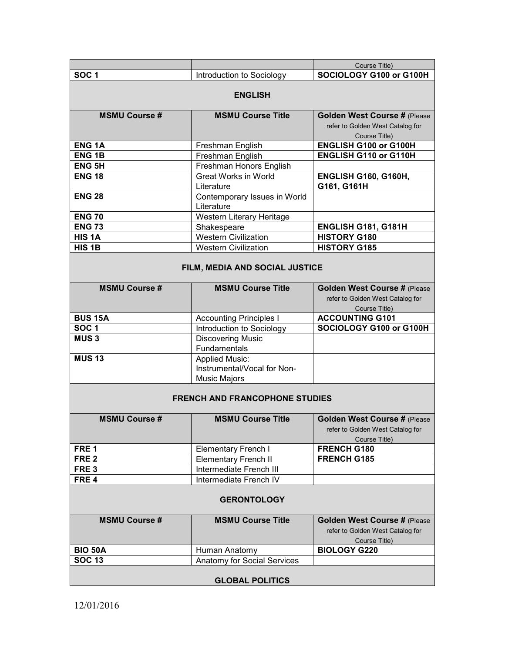|                                       |                                                                             | Course Title)                                                                            |  |
|---------------------------------------|-----------------------------------------------------------------------------|------------------------------------------------------------------------------------------|--|
| SOC <sub>1</sub>                      | Introduction to Sociology                                                   | SOCIOLOGY G100 or G100H                                                                  |  |
|                                       | <b>ENGLISH</b>                                                              |                                                                                          |  |
| <b>MSMU Course #</b>                  | <b>MSMU Course Title</b>                                                    | <b>Golden West Course # (Please</b><br>refer to Golden West Catalog for<br>Course Title) |  |
| <b>ENG1A</b>                          | Freshman English                                                            | ENGLISH G100 or G100H                                                                    |  |
| <b>ENG1B</b>                          | Freshman English                                                            | ENGLISH G110 or G110H                                                                    |  |
| <b>ENG 5H</b>                         | Freshman Honors English                                                     |                                                                                          |  |
| <b>ENG 18</b>                         | <b>Great Works in World</b><br>Literature                                   | <b>ENGLISH G160, G160H,</b><br>G161, G161H                                               |  |
| <b>ENG 28</b>                         | Contemporary Issues in World<br>Literature                                  |                                                                                          |  |
| <b>ENG 70</b>                         | Western Literary Heritage                                                   |                                                                                          |  |
| <b>ENG 73</b>                         | Shakespeare                                                                 | ENGLISH G181, G181H                                                                      |  |
| HIS <sub>1</sub> A                    | Western Civilization                                                        | <b>HISTORY G180</b>                                                                      |  |
| HIS <sub>1B</sub>                     | <b>Western Civilization</b>                                                 | <b>HISTORY G185</b>                                                                      |  |
|                                       | FILM, MEDIA AND SOCIAL JUSTICE                                              |                                                                                          |  |
| <b>MSMU Course #</b>                  | <b>MSMU Course Title</b>                                                    | Golden West Course # (Please<br>refer to Golden West Catalog for<br>Course Title)        |  |
| <b>BUS 15A</b>                        | <b>Accounting Principles I</b>                                              | <b>ACCOUNTING G101</b>                                                                   |  |
| SOC <sub>1</sub>                      | Introduction to Sociology                                                   | SOCIOLOGY G100 or G100H                                                                  |  |
| MUS <sub>3</sub>                      | <b>Discovering Music</b><br>Fundamentals                                    |                                                                                          |  |
| <b>MUS 13</b>                         | <b>Applied Music:</b><br>Instrumental/Vocal for Non-<br><b>Music Majors</b> |                                                                                          |  |
| <b>FRENCH AND FRANCOPHONE STUDIES</b> |                                                                             |                                                                                          |  |
| <b>MSMU Course #</b>                  | <b>MSMU Course Title</b>                                                    | Golden West Course # (Please<br>refer to Golden West Catalog for<br>Course Title)        |  |
| FRE <sub>1</sub>                      | <b>Elementary French I</b>                                                  | FRENCH G180                                                                              |  |
| FRE <sub>2</sub>                      | <b>Elementary French II</b>                                                 | <b>FRENCH G185</b>                                                                       |  |
| FRE <sub>3</sub>                      | Intermediate French III                                                     |                                                                                          |  |
| FRE <sub>4</sub>                      | Intermediate French IV                                                      |                                                                                          |  |
| <b>GERONTOLOGY</b>                    |                                                                             |                                                                                          |  |
| <b>MSMU Course #</b>                  | <b>MSMU Course Title</b>                                                    | <b>Golden West Course # (Please</b><br>refer to Golden West Catalog for<br>Course Title) |  |
| <b>BIO 50A</b>                        | Human Anatomy                                                               | <b>BIOLOGY G220</b>                                                                      |  |
| <b>SOC 13</b>                         | Anatomy for Social Services                                                 |                                                                                          |  |
| <b>GLOBAL POLITICS</b>                |                                                                             |                                                                                          |  |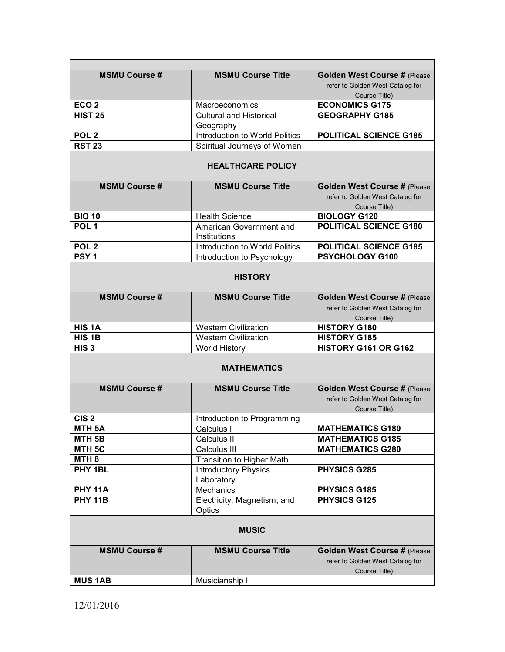| <b>MSMU Course #</b>     | <b>MSMU Course Title</b>                       | Golden West Course # (Please<br>refer to Golden West Catalog for<br>Course Title) |  |  |
|--------------------------|------------------------------------------------|-----------------------------------------------------------------------------------|--|--|
| ECO <sub>2</sub>         | Macroeconomics                                 | <b>ECONOMICS G175</b>                                                             |  |  |
| <b>HIST 25</b>           | <b>Cultural and Historical</b>                 | <b>GEOGRAPHY G185</b>                                                             |  |  |
|                          | Geography                                      |                                                                                   |  |  |
| POL <sub>2</sub>         | Introduction to World Politics                 | <b>POLITICAL SCIENCE G185</b>                                                     |  |  |
| <b>RST 23</b>            | Spiritual Journeys of Women                    |                                                                                   |  |  |
| <b>HEALTHCARE POLICY</b> |                                                |                                                                                   |  |  |
| <b>MSMU Course#</b>      | <b>MSMU Course Title</b>                       | Golden West Course # (Please<br>refer to Golden West Catalog for<br>Course Title) |  |  |
| <b>BIO 10</b>            | <b>Health Science</b>                          | <b>BIOLOGY G120</b>                                                               |  |  |
| POL <sub>1</sub>         | American Government and<br><b>Institutions</b> | <b>POLITICAL SCIENCE G180</b>                                                     |  |  |
| POL <sub>2</sub>         | Introduction to World Politics                 | <b>POLITICAL SCIENCE G185</b>                                                     |  |  |
| PSY <sub>1</sub>         | Introduction to Psychology                     | PSYCHOLOGY G100                                                                   |  |  |
|                          | <b>HISTORY</b>                                 |                                                                                   |  |  |
| <b>MSMU Course #</b>     | <b>MSMU Course Title</b>                       | <b>Golden West Course # (Please</b>                                               |  |  |
|                          |                                                | refer to Golden West Catalog for                                                  |  |  |
|                          |                                                | Course Title)                                                                     |  |  |
| HIS <sub>1</sub> A       | <b>Western Civilization</b>                    | <b>HISTORY G180</b>                                                               |  |  |
| HIS <sub>1B</sub>        | <b>Western Civilization</b>                    | <b>HISTORY G185</b>                                                               |  |  |
| HIS <sub>3</sub>         | <b>World History</b>                           | HISTORY G161 OR G162                                                              |  |  |
|                          | <b>MATHEMATICS</b>                             |                                                                                   |  |  |
| <b>MSMU Course #</b>     | <b>MSMU Course Title</b>                       | Golden West Course # (Please<br>refer to Golden West Catalog for                  |  |  |
| CIS <sub>2</sub>         | Introduction to Programming                    | Course Title)                                                                     |  |  |
| MTH <sub>5</sub> A       | Calculus I                                     | <b>MATHEMATICS G180</b>                                                           |  |  |
| MTH <sub>5B</sub>        | Calculus II                                    | <b>MATHEMATICS G185</b>                                                           |  |  |
| MTH <sub>5C</sub>        | Calculus III                                   | <b>MATHEMATICS G280</b>                                                           |  |  |
| MTH <sub>8</sub>         | Transition to Higher Math                      |                                                                                   |  |  |
| PHY 1BL                  | <b>Introductory Physics</b>                    | <b>PHYSICS G285</b>                                                               |  |  |
|                          | Laboratory                                     |                                                                                   |  |  |
| <b>PHY 11A</b>           | Mechanics                                      | PHYSICS G185                                                                      |  |  |
| <b>PHY 11B</b>           | Electricity, Magnetism, and                    | <b>PHYSICS G125</b>                                                               |  |  |
|                          | Optics                                         |                                                                                   |  |  |
|                          | <b>MUSIC</b>                                   |                                                                                   |  |  |
| <b>MSMU Course #</b>     | <b>MSMU Course Title</b>                       | Golden West Course # (Please<br>refer to Golden West Catalog for<br>Course Title) |  |  |
| <b>MUS 1AB</b>           | Musicianship I                                 |                                                                                   |  |  |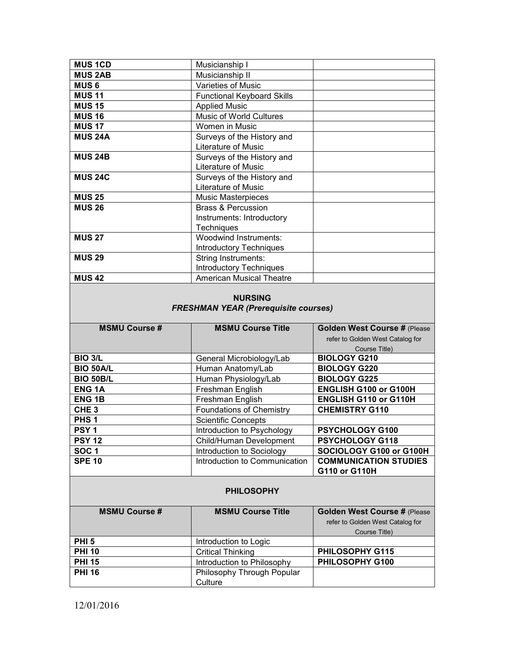| <b>MUS1CD</b>                        | Musicianship I                                           |                                               |
|--------------------------------------|----------------------------------------------------------|-----------------------------------------------|
| <b>MUS 2AB</b>                       | Musicianship II                                          |                                               |
| <b>MUS6</b>                          | Varieties of Music                                       |                                               |
| <b>MUS 11</b>                        | <b>Functional Keyboard Skills</b>                        |                                               |
| <b>MUS 15</b>                        | <b>Applied Music</b>                                     |                                               |
| <b>MUS 16</b>                        | <b>Music of World Cultures</b>                           |                                               |
| <b>MUS 17</b>                        | Women in Music                                           |                                               |
| <b>MUS 24A</b>                       | Surveys of the History and                               |                                               |
|                                      | Literature of Music                                      |                                               |
| <b>MUS 24B</b>                       | Surveys of the History and                               |                                               |
|                                      | Literature of Music                                      |                                               |
| <b>MUS 24C</b>                       | Surveys of the History and                               |                                               |
|                                      | Literature of Music                                      |                                               |
| <b>MUS 25</b>                        | Music Masterpieces                                       |                                               |
| <b>MUS 26</b>                        | <b>Brass &amp; Percussion</b>                            |                                               |
|                                      | Instruments: Introductory                                |                                               |
|                                      | Techniques                                               |                                               |
| <b>MUS 27</b>                        | <b>Woodwind Instruments:</b>                             |                                               |
|                                      | Introductory Techniques                                  |                                               |
| <b>MUS 29</b>                        | String Instruments:                                      |                                               |
|                                      | <b>Introductory Techniques</b>                           |                                               |
| <b>MUS 42</b>                        | <b>American Musical Theatre</b>                          |                                               |
|                                      | <b>FRESHMAN YEAR (Prerequisite courses)</b>              |                                               |
|                                      |                                                          |                                               |
|                                      |                                                          |                                               |
| <b>MSMU Course #</b>                 | <b>MSMU Course Title</b>                                 | Golden West Course # (Please                  |
|                                      |                                                          | refer to Golden West Catalog for              |
|                                      |                                                          | Course Title)                                 |
| <b>BIO 3/L</b>                       | General Microbiology/Lab                                 | <b>BIOLOGY G210</b>                           |
| <b>BIO 50A/L</b>                     | Human Anatomy/Lab                                        | <b>BIOLOGY G220</b>                           |
| <b>BIO 50B/L</b>                     | Human Physiology/Lab                                     | <b>BIOLOGY G225</b>                           |
| <b>ENG1A</b>                         | Freshman English                                         | ENGLISH G100 or G100H                         |
| <b>ENG1B</b>                         | Freshman English                                         | ENGLISH G110 or G110H                         |
| CHE <sub>3</sub><br>PHS <sub>1</sub> | <b>Foundations of Chemistry</b>                          | <b>CHEMISTRY G110</b>                         |
|                                      | <b>Scientific Concepts</b>                               |                                               |
| PSY <sub>1</sub>                     | Introduction to Psychology                               | PSYCHOLOGY G100                               |
| <b>PSY 12</b>                        | Child/Human Development                                  | PSYCHOLOGY G118                               |
| SOC <sub>1</sub>                     | Introduction to Sociology                                | SOCIOLOGY G100 or G100H                       |
| <b>SPE 10</b>                        | Introduction to Communication                            | <b>COMMUNICATION STUDIES</b><br>G110 or G110H |
|                                      | <b>PHILOSOPHY</b>                                        |                                               |
| <b>MSMU Course #</b>                 | <b>MSMU Course Title</b>                                 |                                               |
|                                      |                                                          | Golden West Course # (Please                  |
|                                      |                                                          | refer to Golden West Catalog for              |
| PHI <sub>5</sub>                     |                                                          | Course Title)                                 |
|                                      | Introduction to Logic                                    |                                               |
| <b>PHI 10</b>                        | <b>Critical Thinking</b>                                 | PHILOSOPHY G115                               |
| <b>PHI 15</b><br><b>PHI 16</b>       | Introduction to Philosophy<br>Philosophy Through Popular | PHILOSOPHY G100                               |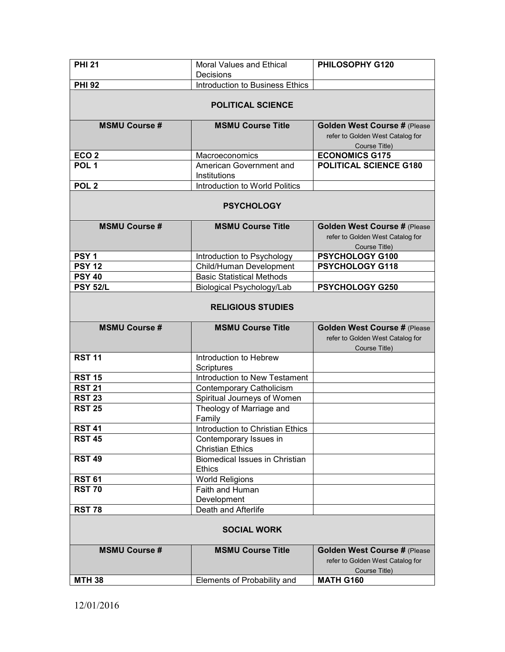| <b>PHI 21</b>                  | Moral Values and Ethical<br>Decisions             | PHILOSOPHY G120                                                  |
|--------------------------------|---------------------------------------------------|------------------------------------------------------------------|
| <b>PHI 92</b>                  | Introduction to Business Ethics                   |                                                                  |
|                                |                                                   |                                                                  |
|                                | <b>POLITICAL SCIENCE</b>                          |                                                                  |
| <b>MSMU Course #</b>           | <b>MSMU Course Title</b>                          | Golden West Course # (Please                                     |
|                                |                                                   | refer to Golden West Catalog for                                 |
|                                |                                                   | Course Title)                                                    |
| ECO <sub>2</sub>               | Macroeconomics                                    | <b>ECONOMICS G175</b>                                            |
| POL <sub>1</sub>               | American Government and                           | POLITICAL SCIENCE G180                                           |
|                                | Institutions                                      |                                                                  |
| POL <sub>2</sub>               | Introduction to World Politics                    |                                                                  |
|                                | <b>PSYCHOLOGY</b>                                 |                                                                  |
| <b>MSMU Course#</b>            | <b>MSMU Course Title</b>                          | Golden West Course # (Please                                     |
|                                |                                                   | refer to Golden West Catalog for                                 |
|                                |                                                   | Course Title)                                                    |
| PSY <sub>1</sub>               | Introduction to Psychology                        | PSYCHOLOGY G100                                                  |
| <b>PSY 12</b>                  | Child/Human Development                           | PSYCHOLOGY G118                                                  |
| <b>PSY 40</b>                  | <b>Basic Statistical Methods</b>                  |                                                                  |
| <b>PSY 52/L</b>                | Biological Psychology/Lab                         | PSYCHOLOGY G250                                                  |
|                                | <b>RELIGIOUS STUDIES</b>                          |                                                                  |
|                                |                                                   |                                                                  |
| <b>MSMU Course #</b>           | <b>MSMU Course Title</b>                          | Golden West Course # (Please                                     |
|                                |                                                   | refer to Golden West Catalog for                                 |
|                                |                                                   | Course Title)                                                    |
| <b>RST 11</b>                  | Introduction to Hebrew                            |                                                                  |
|                                | <b>Scriptures</b>                                 |                                                                  |
| <b>RST 15</b>                  | Introduction to New Testament                     |                                                                  |
| <b>RST 21</b>                  | Contemporary Catholicism                          |                                                                  |
| <b>RST 23</b>                  | Spiritual Journeys of Women                       |                                                                  |
| <b>RST 25</b>                  | Theology of Marriage and                          |                                                                  |
|                                | Family                                            |                                                                  |
| <b>RST 41</b><br><b>RST 45</b> | Introduction to Christian Ethics                  |                                                                  |
|                                | Contemporary Issues in<br><b>Christian Ethics</b> |                                                                  |
| <b>RST 49</b>                  | <b>Biomedical Issues in Christian</b>             |                                                                  |
|                                | <b>Ethics</b>                                     |                                                                  |
| <b>RST 61</b>                  | <b>World Religions</b>                            |                                                                  |
| <b>RST 70</b>                  | Faith and Human                                   |                                                                  |
|                                | Development                                       |                                                                  |
| <b>RST 78</b>                  | Death and Afterlife                               |                                                                  |
|                                | <b>SOCIAL WORK</b>                                |                                                                  |
| <b>MSMU Course #</b>           | <b>MSMU Course Title</b>                          |                                                                  |
|                                |                                                   | Golden West Course # (Please<br>refer to Golden West Catalog for |
|                                |                                                   | Course Title)<br><b>MATH G160</b>                                |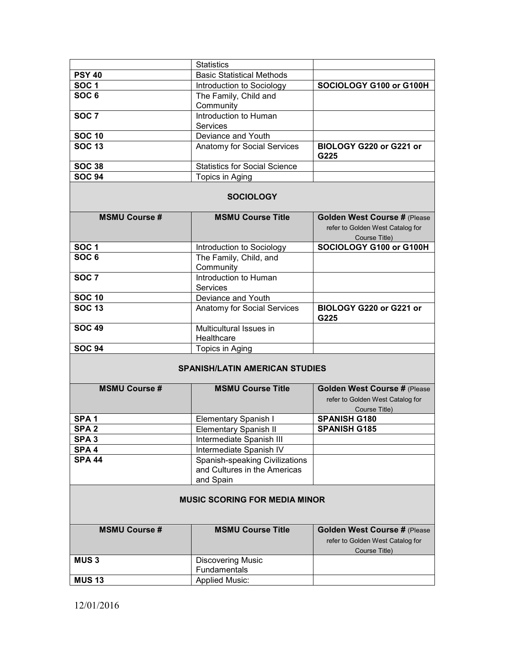|                                       | <b>Statistics</b>                                                           |                                                                                   |  |  |
|---------------------------------------|-----------------------------------------------------------------------------|-----------------------------------------------------------------------------------|--|--|
| <b>PSY 40</b>                         | <b>Basic Statistical Methods</b>                                            |                                                                                   |  |  |
| <b>SOC1</b>                           | Introduction to Sociology                                                   | SOCIOLOGY G100 or G100H                                                           |  |  |
| SOC <sub>6</sub>                      | The Family, Child and                                                       |                                                                                   |  |  |
|                                       | Community                                                                   |                                                                                   |  |  |
| SOC <sub>7</sub>                      | Introduction to Human                                                       |                                                                                   |  |  |
|                                       | <b>Services</b>                                                             |                                                                                   |  |  |
| <b>SOC 10</b>                         | Deviance and Youth                                                          |                                                                                   |  |  |
| <b>SOC 13</b>                         | Anatomy for Social Services                                                 | BIOLOGY G220 or G221 or                                                           |  |  |
|                                       |                                                                             | G225                                                                              |  |  |
| <b>SOC 38</b>                         | <b>Statistics for Social Science</b>                                        |                                                                                   |  |  |
| <b>SOC 94</b>                         | Topics in Aging                                                             |                                                                                   |  |  |
| <b>SOCIOLOGY</b>                      |                                                                             |                                                                                   |  |  |
| <b>MSMU Course #</b>                  | <b>MSMU Course Title</b>                                                    | Golden West Course # (Please<br>refer to Golden West Catalog for<br>Course Title) |  |  |
| SOC <sub>1</sub>                      | Introduction to Sociology                                                   | SOCIOLOGY G100 or G100H                                                           |  |  |
| SOC6                                  | The Family, Child, and                                                      |                                                                                   |  |  |
|                                       | Community                                                                   |                                                                                   |  |  |
| <b>SOC 7</b>                          | Introduction to Human                                                       |                                                                                   |  |  |
|                                       | <b>Services</b>                                                             |                                                                                   |  |  |
| <b>SOC 10</b>                         | Deviance and Youth                                                          |                                                                                   |  |  |
| <b>SOC 13</b>                         | Anatomy for Social Services                                                 | BIOLOGY G220 or G221 or<br>G225                                                   |  |  |
| <b>SOC 49</b>                         | Multicultural Issues in<br>Healthcare                                       |                                                                                   |  |  |
| <b>SOC 94</b>                         | Topics in Aging                                                             |                                                                                   |  |  |
| <b>SPANISH/LATIN AMERICAN STUDIES</b> |                                                                             |                                                                                   |  |  |
| <b>MSMU Course #</b>                  | <b>MSMU Course Title</b>                                                    | Golden West Course # (Please<br>refer to Golden West Catalog for<br>Course Title) |  |  |
| SPA <sub>1</sub>                      | <b>Elementary Spanish I</b>                                                 | <b>SPANISH G180</b>                                                               |  |  |
| SPA <sub>2</sub>                      | <b>Elementary Spanish II</b>                                                | <b>SPANISH G185</b>                                                               |  |  |
| SPA <sub>3</sub>                      | Intermediate Spanish III                                                    |                                                                                   |  |  |
| SPA <sub>4</sub>                      | Intermediate Spanish IV                                                     |                                                                                   |  |  |
| <b>SPA 44</b>                         | Spanish-speaking Civilizations<br>and Cultures in the Americas<br>and Spain |                                                                                   |  |  |
| <b>MUSIC SCORING FOR MEDIA MINOR</b>  |                                                                             |                                                                                   |  |  |
| <b>MSMU Course #</b>                  | <b>MSMU Course Title</b>                                                    | Golden West Course # (Please<br>refer to Golden West Catalog for<br>Course Title) |  |  |
| <b>MUS3</b>                           | <b>Discovering Music</b>                                                    |                                                                                   |  |  |
|                                       | Fundamentals                                                                |                                                                                   |  |  |
| <b>MUS 13</b>                         | <b>Applied Music:</b>                                                       |                                                                                   |  |  |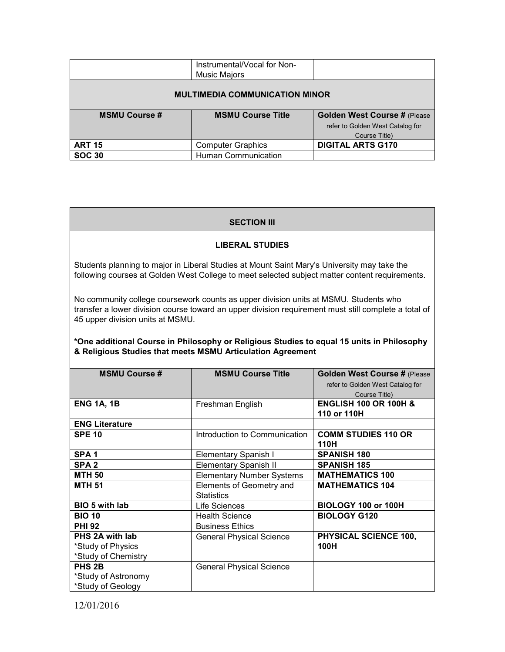|                                       | Instrumental/Vocal for Non-<br><b>Music Majors</b> |                                     |  |  |
|---------------------------------------|----------------------------------------------------|-------------------------------------|--|--|
| <b>MULTIMEDIA COMMUNICATION MINOR</b> |                                                    |                                     |  |  |
| <b>MSMU Course #</b>                  | <b>MSMU Course Title</b>                           | <b>Golden West Course # (Please</b> |  |  |
|                                       |                                                    | refer to Golden West Catalog for    |  |  |
|                                       |                                                    | Course Title)                       |  |  |
| <b>ART 15</b>                         | <b>Computer Graphics</b>                           | <b>DIGITAL ARTS G170</b>            |  |  |
| <b>SOC 30</b>                         | Human Communication                                |                                     |  |  |

### **SECTION III**

### **LIBERAL STUDIES**

Students planning to major in Liberal Studies at Mount Saint Mary's University may take the following courses at Golden West College to meet selected subject matter content requirements.

No community college coursework counts as upper division units at MSMU. Students who transfer a lower division course toward an upper division requirement must still complete a total of 45 upper division units at MSMU.

### **\*One additional Course in Philosophy or Religious Studies to equal 15 units in Philosophy & Religious Studies that meets MSMU Articulation Agreement**

| <b>MSMU Course #</b>  | <b>MSMU Course Title</b>         | Golden West Course # (Please     |
|-----------------------|----------------------------------|----------------------------------|
|                       |                                  | refer to Golden West Catalog for |
|                       |                                  | Course Title)                    |
| <b>ENG 1A, 1B</b>     | Freshman English                 | <b>ENGLISH 100 OR 100H &amp;</b> |
|                       |                                  | 110 or 110H                      |
| <b>ENG Literature</b> |                                  |                                  |
| <b>SPE 10</b>         | Introduction to Communication    | <b>COMM STUDIES 110 OR</b>       |
|                       |                                  | 110H                             |
| SPA <sub>1</sub>      | <b>Elementary Spanish I</b>      | <b>SPANISH 180</b>               |
| SPA <sub>2</sub>      | <b>Elementary Spanish II</b>     | <b>SPANISH 185</b>               |
| <b>MTH 50</b>         | <b>Elementary Number Systems</b> | <b>MATHEMATICS 100</b>           |
| <b>MTH 51</b>         | Elements of Geometry and         | <b>MATHEMATICS 104</b>           |
|                       | <b>Statistics</b>                |                                  |
| <b>BIO 5 with lab</b> | Life Sciences                    | BIOLOGY 100 or 100H              |
| <b>BIO 10</b>         | <b>Health Science</b>            | <b>BIOLOGY G120</b>              |
| <b>PHI 92</b>         | <b>Business Ethics</b>           |                                  |
| PHS 2A with lab       | <b>General Physical Science</b>  | PHYSICAL SCIENCE 100,            |
| *Study of Physics     |                                  | 100H                             |
| *Study of Chemistry   |                                  |                                  |
| PHS 2B                | <b>General Physical Science</b>  |                                  |
| *Study of Astronomy   |                                  |                                  |
| *Study of Geology     |                                  |                                  |